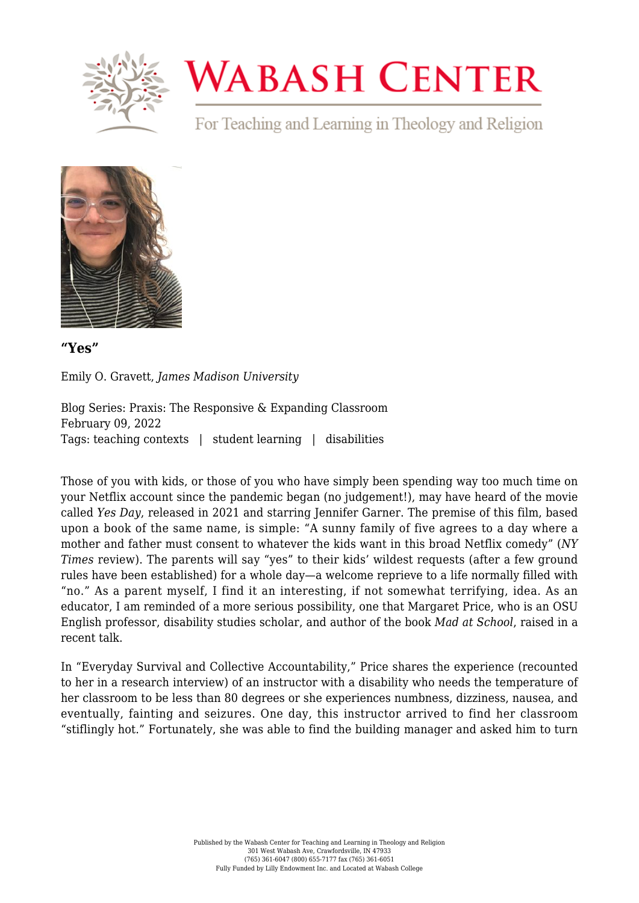

## **WABASH CENTER**

For Teaching and Learning in Theology and Religion



**["Yes"](https://www.wabashcenter.wabash.edu/2022/02/yes/)**

Emily O. Gravett, *James Madison University*

Blog Series: Praxis: The Responsive & Expanding Classroom February 09, 2022 Tags: teaching contexts | student learning | disabilities

Those of you with kids, or those of you who have simply been spending way too much time on your Netflix account since the pandemic began (no judgement!), may have heard of the movie called *Yes Day*, released in 2021 and starring Jennifer Garner. The premise of this film, based upon a book of the same name, is simple: "A sunny family of five agrees to a day where a mother and father must consent to whatever the kids want in this broad Netflix comedy" (*[NY](https://www.nytimes.com/2021/03/12/movies/yes-day-review.html) [Times](https://www.nytimes.com/2021/03/12/movies/yes-day-review.html)* [review\)](https://www.nytimes.com/2021/03/12/movies/yes-day-review.html). The parents will say "yes" to their kids' wildest requests (after a few ground rules have been established) for a whole day—a welcome reprieve to a life normally filled with "no." As a parent myself, I find it an interesting, if not somewhat terrifying, idea. As an educator, I am reminded of a more serious possibility, one that Margaret Price, who is an [OSU](https://english.osu.edu/people/price.1225) [English professor, disability studies scholar,](https://english.osu.edu/people/price.1225) and author of the book *[Mad at School](https://www.press.umich.edu/1612837/mad_at_school)*, raised in a recent talk.

In ["Everyday Survival and Collective Accountability,"](https://www.youtube.com/watch?v=MWANUsT8fqE&ab_channel=UofUTransform) Price shares the experience (recounted to her in a research interview) of an instructor with a disability who needs the temperature of her classroom to be less than 80 degrees or she experiences numbness, dizziness, nausea, and eventually, fainting and seizures. One day, this instructor arrived to find her classroom "stiflingly hot." Fortunately, she was able to find the building manager and asked him to turn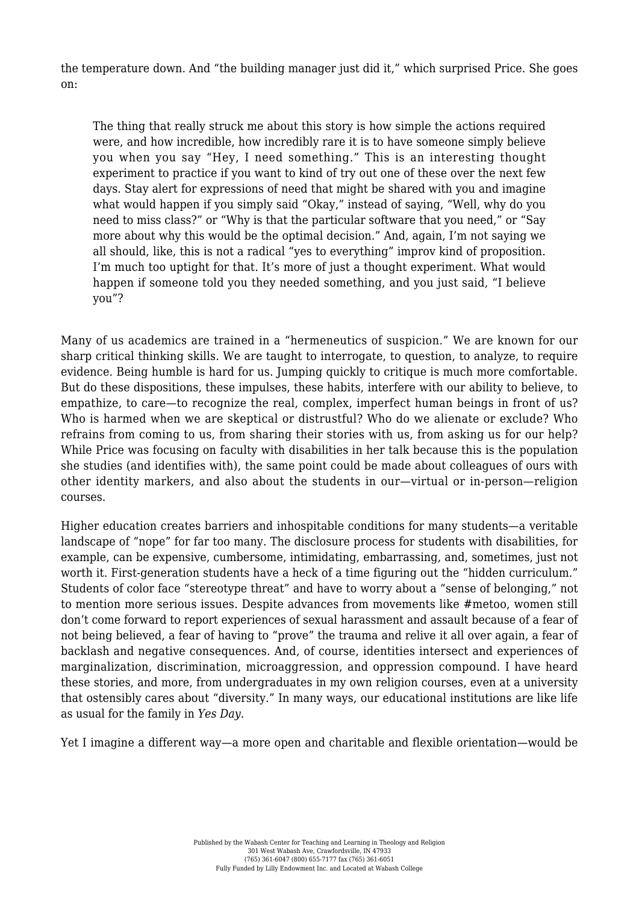the temperature down. And "the building manager just did it," [which surprised Price.](https://transform.utah.edu/dslecture-2021/) She goes on:

The thing that really struck me about this story is how simple the actions required were, and how incredible, how incredibly rare it is to have someone simply believe you when you say "Hey, I need something." This is an interesting thought experiment to practice if you want to kind of try out one of these over the next few days. Stay alert for expressions of need that might be shared with you and imagine what would happen if you simply said "Okay," instead of saying, "Well, why do you need to miss class?" or "Why is that the particular software that you need," or "Say more about why this would be the optimal decision." And, again, I'm not saying we all should, like, this is not a radical "yes to everything" improv kind of proposition. I'm much too uptight for that. It's more of just a thought experiment. What would happen if someone told you they needed something, and you just said, "I believe you"?

Many of us academics are trained in a "[hermeneutics of suspicion](https://journal.media-culture.org.au/index.php/mcjournal/article/view/431)." We are known for our sharp critical thinking skills. We are taught to interrogate, to question, to analyze, to require evidence. [Being humble](https://www.vox.com/science-and-health/2019/1/4/17989224/intellectual-humility-explained-psychology-replication) is hard for us. Jumping quickly to critique is much more comfortable. But do these dispositions, these impulses, these habits, interfere with our ability to believe, to empathize, to care—to recognize the real, complex, imperfect human beings in front of us? Who is harmed when we are skeptical or distrustful? Who do we alienate or exclude? Who refrains from coming to us, from sharing their stories with us, from asking us for our help? While Price was focusing on faculty with disabilities in her talk because this is the population she studies (and identifies with), the same point could be made about colleagues of ours with other identity markers, and also about the students in our—virtual or in-person—religion courses.

Higher education creates barriers and inhospitable conditions for many students—a veritable landscape of "nope" for far too many. The disclosure process for students with disabilities, for example, can be expensive, cumbersome, intimidating, embarrassing, and, sometimes, just not worth it. First-generation students have a heck of a time figuring out the ["hidden curriculum."](https://www.insidehighered.com/news/2021/01/19/author-discusses-her-new-book-first-generation-students-harvard-and-georgetown) Students of color face ["stereotype threat"](https://www.niot.org/nios-video/stereotype-threat-conversation-claude-steele) and have to worry about a ["sense of belonging,"](https://www.insidehighered.com/views/2020/09/08/encouraging-sense-belonging-among-underrepresented-students-key-their-success-stem) not to mention more serious issues. Despite advances from movements like #metoo, women still don't come forward to report experiences of sexual harassment and assault because of a fear of not being believed, a fear of having to "prove" the trauma and relive it all over again, a fear of [backlash and negative consequences.](https://hbr.org/2019/09/the-metoo-backlash) And, of course, [identities intersect](http://www.forharriet.com/2016/09/the-vision-for-black-lives-is.html?m=1) and experiences of marginalization, discrimination, microaggression, and oppression compound. I have heard these stories, and more, from undergraduates in my own religion courses, even at a university that ostensibly cares about "diversity." In many ways, our educational institutions are like life as usual for the family in *Yes Day*.

Yet I imagine a different way—a more open and charitable and flexible orientation—would be